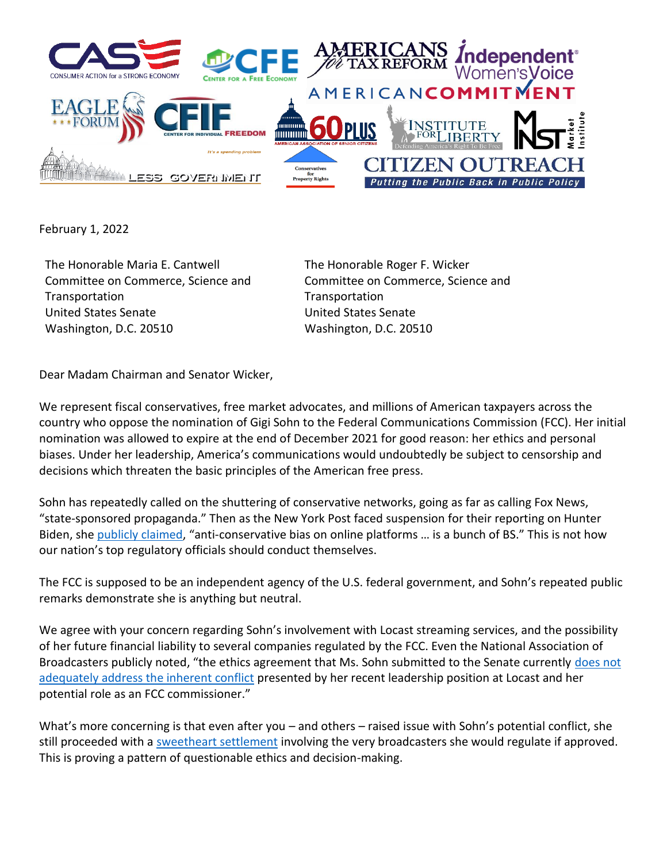

February 1, 2022

The Honorable Maria E. Cantwell Committee on Commerce, Science and **Transportation** United States Senate Washington, D.C. 20510

The Honorable Roger F. Wicker Committee on Commerce, Science and **Transportation** United States Senate Washington, D.C. 20510

Dear Madam Chairman and Senator Wicker,

We represent fiscal conservatives, free market advocates, and millions of American taxpayers across the country who oppose the nomination of Gigi Sohn to the Federal Communications Commission (FCC). Her initial nomination was allowed to expire at the end of December 2021 for good reason: her ethics and personal biases. Under her leadership, America's communications would undoubtedly be subject to censorship and decisions which threaten the basic principles of the American free press.

Sohn has repeatedly called on the shuttering of conservative networks, going as far as calling Fox News, "state-sponsored propaganda." Then as the New York Post faced suspension for their reporting on Hunter Biden, she [publicly claimed](https://twitter.com/gigibsohn/status/1288526918556561420), "anti-conservative bias on online platforms ... is a bunch of BS." This is not how our nation's top regulatory officials should conduct themselves.

The FCC is supposed to be an independent agency of the U.S. federal government, and Sohn's repeated public remarks demonstrate she is anything but neutral.

We agree with your concern regarding Sohn's involvement with Locast streaming services, and the possibility of her future financial liability to several companies regulated by the FCC. Even the National Association of Broadcasters publicly noted, "the ethics agreement that Ms. Sohn submitted to the Senate currently [does not](https://www.tvtechnology.com/news/nab-expresses-serious-concerns-about-gigi-sohn-fcc-nomination)  [adequately address the inherent conflict](https://www.tvtechnology.com/news/nab-expresses-serious-concerns-about-gigi-sohn-fcc-nomination) presented by her recent leadership position at Locast and her potential role as an FCC commissioner."

What's more concerning is that even after you – and others – raised issue with Sohn's potential conflict, she still proceeded with a [sweetheart settlement](https://news.bloomberglaw.com/tech-and-telecom-law/fcc-nominees-settlement-undercuts-rationale-for-blocking-her) involving the very broadcasters she would regulate if approved. This is proving a pattern of questionable ethics and decision-making.